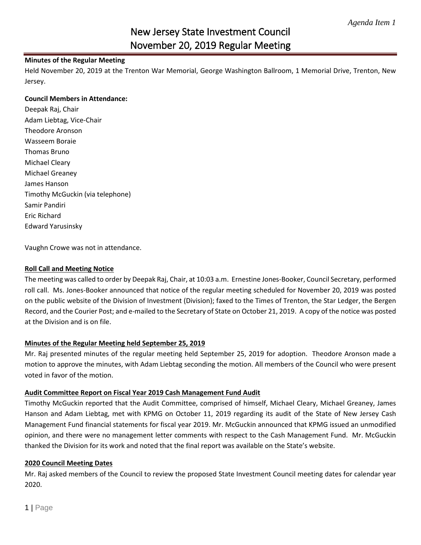# New Jersey State Investment Council November 20, 2019 Regular Meeting

#### **Minutes of the Regular Meeting**

Held November 20, 2019 at the Trenton War Memorial, George Washington Ballroom, 1 Memorial Drive, Trenton, New Jersey.

#### **Council Members in Attendance:**

Deepak Raj, Chair Adam Liebtag, Vice-Chair Theodore Aronson Wasseem Boraie Thomas Bruno Michael Cleary Michael Greaney James Hanson Timothy McGuckin (via telephone) Samir Pandiri Eric Richard Edward Yarusinsky

Vaughn Crowe was not in attendance.

#### **Roll Call and Meeting Notice**

The meeting was called to order by Deepak Raj, Chair, at 10:03 a.m. Ernestine Jones-Booker, Council Secretary, performed roll call. Ms. Jones-Booker announced that notice of the regular meeting scheduled for November 20, 2019 was posted on the public website of the Division of Investment (Division); faxed to the Times of Trenton, the Star Ledger, the Bergen Record, and the Courier Post; and e-mailed to the Secretary of State on October 21, 2019. A copy of the notice was posted at the Division and is on file.

### **Minutes of the Regular Meeting held September 25, 2019**

Mr. Raj presented minutes of the regular meeting held September 25, 2019 for adoption. Theodore Aronson made a motion to approve the minutes, with Adam Liebtag seconding the motion. All members of the Council who were present voted in favor of the motion.

#### **Audit Committee Report on Fiscal Year 2019 Cash Management Fund Audit**

Timothy McGuckin reported that the Audit Committee, comprised of himself, Michael Cleary, Michael Greaney, James Hanson and Adam Liebtag, met with KPMG on October 11, 2019 regarding its audit of the State of New Jersey Cash Management Fund financial statements for fiscal year 2019. Mr. McGuckin announced that KPMG issued an unmodified opinion, and there were no management letter comments with respect to the Cash Management Fund. Mr. McGuckin thanked the Division for its work and noted that the final report was available on the State's website.

### **2020 Council Meeting Dates**

Mr. Raj asked members of the Council to review the proposed State Investment Council meeting dates for calendar year 2020.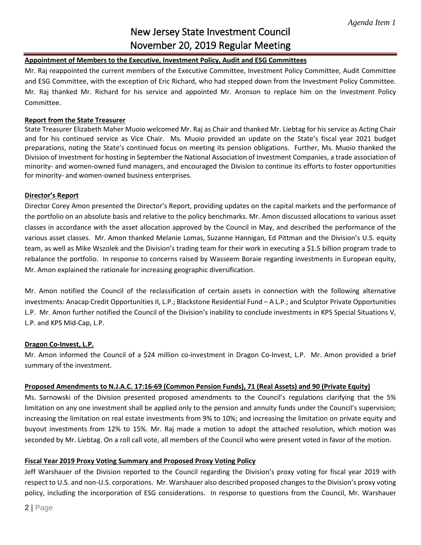# New Jersey State Investment Council November 20, 2019 Regular Meeting

## **Appointment of Members to the Executive, Investment Policy, Audit and ESG Committees**

Mr. Raj reappointed the current members of the Executive Committee, Investment Policy Committee, Audit Committee and ESG Committee, with the exception of Eric Richard, who had stepped down from the Investment Policy Committee. Mr. Raj thanked Mr. Richard for his service and appointed Mr. Aronson to replace him on the Investment Policy Committee.

### **Report from the State Treasurer**

State Treasurer Elizabeth Maher Muoio welcomed Mr. Raj as Chair and thanked Mr. Liebtag for his service as Acting Chair and for his continued service as Vice Chair. Ms. Muoio provided an update on the State's fiscal year 2021 budget preparations, noting the State's continued focus on meeting its pension obligations. Further, Ms. Muoio thanked the Division of Investment for hosting in September the National Association of Investment Companies, a trade association of minority- and women-owned fund managers, and encouraged the Division to continue its efforts to foster opportunities for minority- and women-owned business enterprises.

## **Director's Report**

Director Corey Amon presented the Director's Report, providing updates on the capital markets and the performance of the portfolio on an absolute basis and relative to the policy benchmarks. Mr. Amon discussed allocations to various asset classes in accordance with the asset allocation approved by the Council in May, and described the performance of the various asset classes. Mr. Amon thanked Melanie Lomas, Suzanne Hannigan, Ed Pittman and the Division's U.S. equity team, as well as Mike Wszolek and the Division's trading team for their work in executing a \$1.5 billion program trade to rebalance the portfolio. In response to concerns raised by Wasseem Boraie regarding investments in European equity, Mr. Amon explained the rationale for increasing geographic diversification.

Mr. Amon notified the Council of the reclassification of certain assets in connection with the following alternative investments: Anacap Credit Opportunities II, L.P.; Blackstone Residential Fund – A L.P.; and Sculptor Private Opportunities L.P. Mr. Amon further notified the Council of the Division's inability to conclude investments in KPS Special Situations V, L.P. and KPS Mid-Cap, L.P.

## **Dragon Co-Invest, L.P.**

Mr. Amon informed the Council of a \$24 million co-investment in Dragon Co-Invest, L.P. Mr. Amon provided a brief summary of the investment.

### **Proposed Amendments to N.J.A.C. 17:16-69 (Common Pension Funds), 71 (Real Assets) and 90 (Private Equity)**

Ms. Sarnowski of the Division presented proposed amendments to the Council's regulations clarifying that the 5% limitation on any one investment shall be applied only to the pension and annuity funds under the Council's supervision; increasing the limitation on real estate investments from 9% to 10%; and increasing the limitation on private equity and buyout investments from 12% to 15%. Mr. Raj made a motion to adopt the attached resolution, which motion was seconded by Mr. Liebtag. On a roll call vote, all members of the Council who were present voted in favor of the motion.

### **Fiscal Year 2019 Proxy Voting Summary and Proposed Proxy Voting Policy**

Jeff Warshauer of the Division reported to the Council regarding the Division's proxy voting for fiscal year 2019 with respect to U.S. and non-U.S. corporations. Mr. Warshauer also described proposed changes to the Division's proxy voting policy, including the incorporation of ESG considerations. In response to questions from the Council, Mr. Warshauer